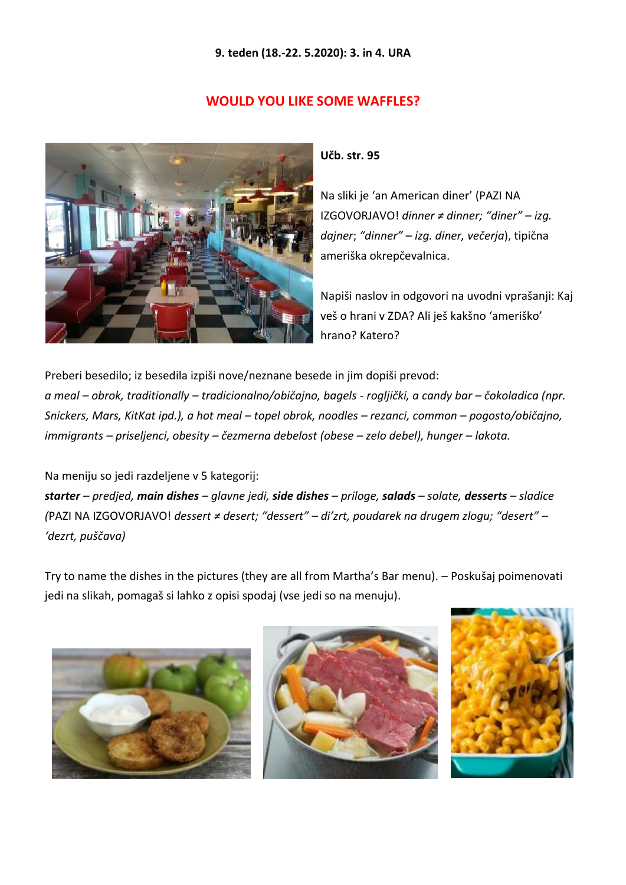#### **9. teden (18.-22. 5.2020): 3. in 4. URA**

## **WOULD YOU LIKE SOME WAFFLES?**



#### **Učb. str. 95**

Na sliki je 'an American diner' (PAZI NA IZGOVORJAVO! *dinner ≠ dinner; "diner" – izg. dajner*; *"dinner" – izg. diner, večerja*), tipična ameriška okrepčevalnica.

Napiši naslov in odgovori na uvodni vprašanji: Kaj veš o hrani v ZDA? Ali ješ kakšno 'ameriško' hrano? Katero?

Preberi besedilo; iz besedila izpiši nove/neznane besede in jim dopiši prevod: *a meal – obrok, traditionally – tradicionalno/običajno, bagels - rogljički, a candy bar – čokoladica (npr. Snickers, Mars, KitKat ipd.), a hot meal – topel obrok, noodles – rezanci, common – pogosto/običajno, immigrants – priseljenci, obesity – čezmerna debelost (obese – zelo debel), hunger – lakota.*

Na meniju so jedi razdeljene v 5 kategorij:

*starter – predjed, main dishes – glavne jedi, side dishes – priloge, salads – solate, desserts – sladice (*PAZI NA IZGOVORJAVO! *dessert ≠ desert; "dessert" – di'zrt, poudarek na drugem zlogu; "desert" – 'dezrt, puščava)*

Try to name the dishes in the pictures (they are all from Martha's Bar menu). – Poskušaj poimenovati jedi na slikah, pomagaš si lahko z opisi spodaj (vse jedi so na menuju).





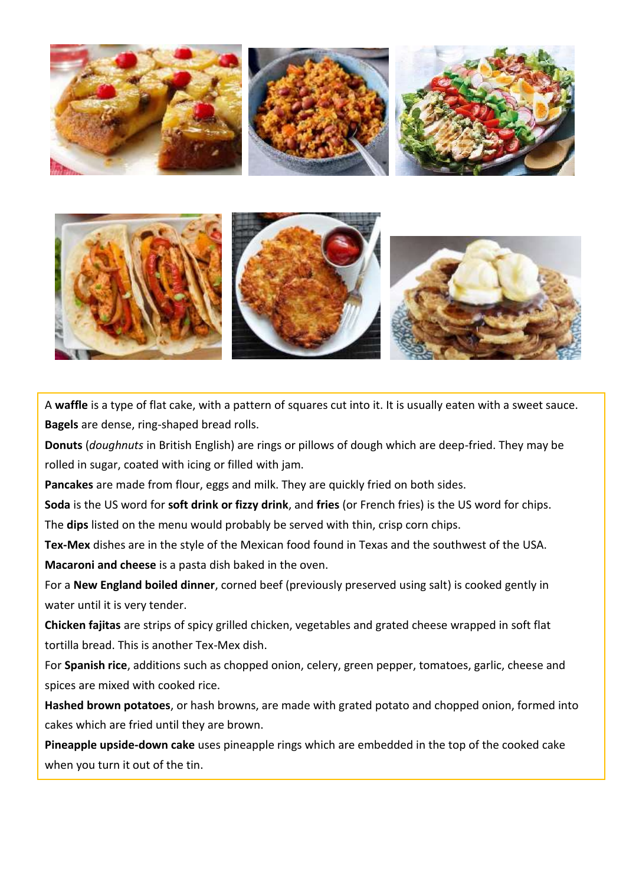



A **waffle** is a type of flat cake, with a pattern of squares cut into it. It is usually eaten with a sweet sauce. **Bagels** are dense, ring-shaped bread rolls.

**Donuts** (*doughnuts* in British English) are rings or pillows of dough which are deep-fried. They may be rolled in sugar, coated with icing or filled with jam.

**Pancakes** are made from flour, eggs and milk. They are quickly fried on both sides.

**Soda** is the US word for **soft drink or fizzy drink**, and **fries** (or French fries) is the US word for chips. The **dips** listed on the menu would probably be served with thin, crisp corn chips.

**Tex-Mex** dishes are in the style of the Mexican food found in Texas and the southwest of the USA. **Macaroni and cheese** is a pasta dish baked in the oven.

For a **New England boiled dinner**, corned beef (previously preserved using salt) is cooked gently in water until it is very tender.

**Chicken fajitas** are strips of spicy grilled chicken, vegetables and grated cheese wrapped in soft flat tortilla bread. This is another Tex-Mex dish.

For **Spanish rice**, additions such as chopped onion, celery, green pepper, tomatoes, garlic, cheese and spices are mixed with cooked rice.

**Hashed brown potatoes**, or hash browns, are made with grated potato and chopped onion, formed into cakes which are fried until they are brown.

**Pineapple upside-down cake** uses pineapple rings which are embedded in the top of the cooked cake when you turn it out of the tin.